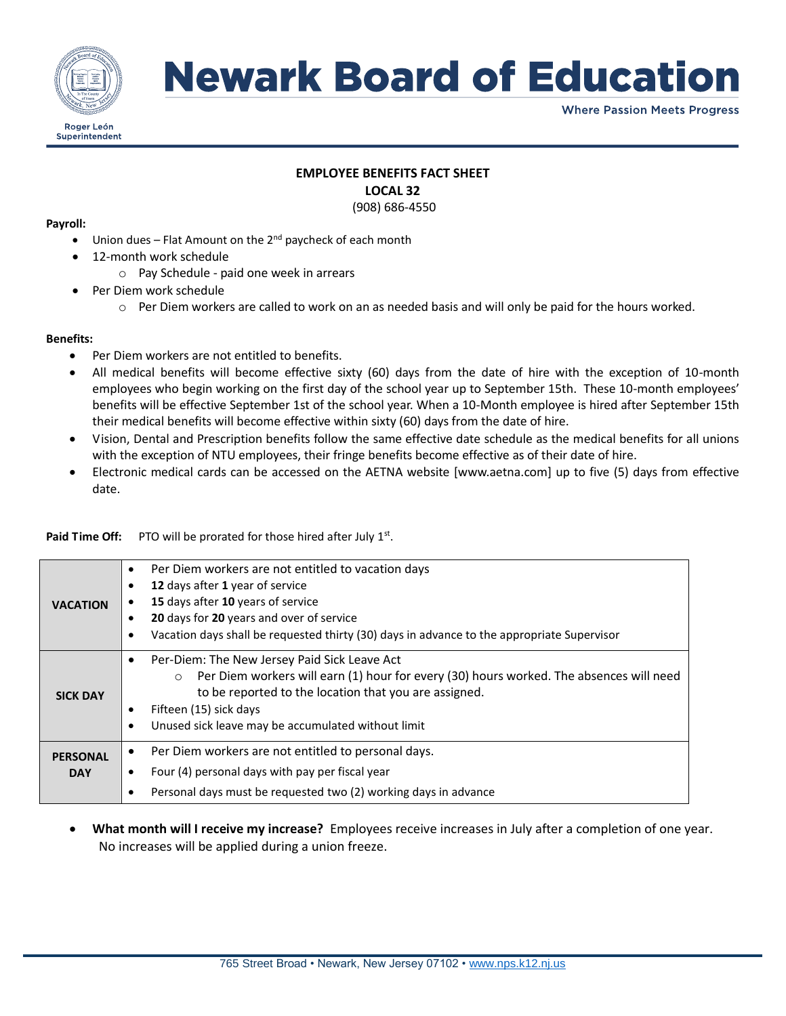

# **Newark Board of Education**

**Where Passion Meets Progress** 

### **EMPLOYEE BENEFITS FACT SHEET**

**LOCAL 32**

(908) 686-4550

#### **Payroll:**

- Union dues Flat Amount on the 2<sup>nd</sup> paycheck of each month
- 12-month work schedule
	- o Pay Schedule paid one week in arrears
- Per Diem work schedule
	- $\circ$  Per Diem workers are called to work on an as needed basis and will only be paid for the hours worked.

#### **Benefits:**

- Per Diem workers are not entitled to benefits.
- All medical benefits will become effective sixty (60) days from the date of hire with the exception of 10-month employees who begin working on the first day of the school year up to September 15th. These 10-month employees' benefits will be effective September 1st of the school year. When a 10-Month employee is hired after September 15th their medical benefits will become effective within sixty (60) days from the date of hire.
- Vision, Dental and Prescription benefits follow the same effective date schedule as the medical benefits for all unions with the exception of NTU employees, their fringe benefits become effective as of their date of hire.
- Electronic medical cards can be accessed on the AETNA website [www.aetna.com] up to five (5) days from effective date.

| <b>VACATION</b>               | Per Diem workers are not entitled to vacation days<br>$\bullet$<br>12 days after 1 year of service<br>٠<br>15 days after 10 years of service<br>20 days for 20 years and over of service<br>Vacation days shall be requested thirty (30) days in advance to the appropriate Supervisor                             |
|-------------------------------|--------------------------------------------------------------------------------------------------------------------------------------------------------------------------------------------------------------------------------------------------------------------------------------------------------------------|
| <b>SICK DAY</b>               | Per-Diem: The New Jersey Paid Sick Leave Act<br>$\bullet$<br>Per Diem workers will earn (1) hour for every (30) hours worked. The absences will need<br>$\circ$<br>to be reported to the location that you are assigned.<br>Fifteen (15) sick days<br>٠<br>Unused sick leave may be accumulated without limit<br>٠ |
| <b>PERSONAL</b><br><b>DAY</b> | Per Diem workers are not entitled to personal days.<br>$\bullet$<br>Four (4) personal days with pay per fiscal year<br>٠<br>Personal days must be requested two (2) working days in advance                                                                                                                        |

Paid Time Off: PTO will be prorated for those hired after July 1<sup>st</sup>.

 **What month will I receive my increase?** Employees receive increases in July after a completion of one year. No increases will be applied during a union freeze.